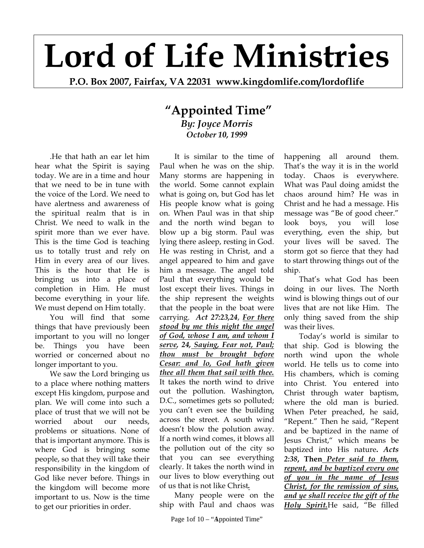## **Lord of Life Ministries**

**P.O. Box 2007, Fairfax, VA 22031 www.kingdomlife.com/lordoflife** 

## **"Appointed Time"** *By: Joyce Morris October 10, 1999*

.He that hath an ear let him hear what the Spirit is saying today. We are in a time and hour that we need to be in tune with the voice of the Lord. We need to have alertness and awareness of the spiritual realm that is in Christ. We need to walk in the spirit more than we ever have. This is the time God is teaching us to totally trust and rely on Him in every area of our lives. This is the hour that He is bringing us into a place of completion in Him. He must become everything in your life. We must depend on Him totally.

You will find that some things that have previously been important to you will no longer be. Things you have been worried or concerned about no longer important to you.

We saw the Lord bringing us to a place where nothing matters except His kingdom, purpose and plan. We will come into such a place of trust that we will not be worried about our needs, problems or situations. None of that is important anymore. This is where God is bringing some people, so that they will take their responsibility in the kingdom of God like never before. Things in the kingdom will become more important to us. Now is the time to get our priorities in order.

It is similar to the time of Paul when he was on the ship. Many storms are happening in the world. Some cannot explain what is going on, but God has let His people know what is going on. When Paul was in that ship and the north wind began to blow up a big storm. Paul was lying there asleep, resting in God. He was resting in Christ, and a angel appeared to him and gave him a message. The angel told Paul that everything would be lost except their lives. Things in the ship represent the weights that the people in the boat were carrying. *Act 27:23,24*, *For there stood by me this night the angel of God, whose I am, and whom I serve, 24, Saying, Fear not, Paul; thou must be brought before Cesar: and lo, God hath given thee all them that sail with thee.*  It takes the north wind to drive out the pollution. Washington, D.C., sometimes gets so polluted; you can't even see the building across the street. A south wind doesn't blow the polution away. If a north wind comes, it blows all the pollution out of the city so that you can see everything clearly. It takes the north wind in our lives to blow everything out of us that is not like Christ*.*

Many people were on the ship with Paul and chaos was

Page 1of 10 – "Appointed Time"

happening all around them. That's the way it is in the world today. Chaos is everywhere. What was Paul doing amidst the chaos around him? He was in Christ and he had a message. His message was "Be of good cheer." look boys, you will lose everything, even the ship, but your lives will be saved. The storm got so fierce that they had to start throwing things out of the ship.

That's what God has been doing in our lives. The North wind is blowing things out of our lives that are not like Him. The only thing saved from the ship was their lives.

Today's world is similar to that ship. God is blowing the north wind upon the whole world. He tells us to come into His chambers, which is coming into Christ. You entered into Christ through water baptism, where the old man is buried. When Peter preached, he said, "Repent." Then he said, "Repent and be baptized in the name of Jesus Christ," which means be baptized into His nature**.** *Acts 2:38***, Then** *Peter said to them, repent, and be baptized every one of you in the name of Jesus Christ, for the remission of sins, and ye shall receive the gift of the Holy Spirit.*He said, "Be filled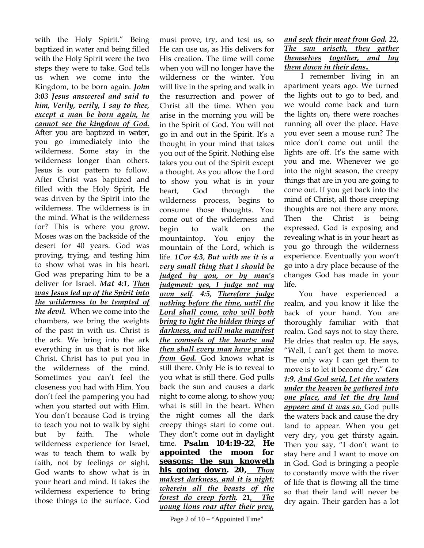with the Holy Spirit." Being baptized in water and being filled with the Holy Spirit were the two steps they were to take. God tells us when we come into the Kingdom, to be born again. *John 3:03 Jesus answered and said to him, Verily, verily, I say to thee, except a man be born again, he cannot see the kingdom of God.*  After you are baptized in water, you go immediately into the wilderness. Some stay in the wilderness longer than others. Jesus is our pattern to follow. After Christ was baptized and filled with the Holy Spirit, He was driven by the Spirit into the wilderness. The wilderness is in the mind. What is the wilderness for? This is where you grow. Moses was on the backside of the desert for 40 years. God was proving, trying, and testing him to show what was in his heart. God was preparing him to be a deliver for Israel. *Mat 4:1*, *Then was Jesus led up of the Spirit into the wilderness to be tempted of the devil.* When we come into the chambers, we bring the weights of the past in with us. Christ is the ark. We bring into the ark everything in us that is not like Christ. Christ has to put you in the wilderness of the mind. Sometimes you can't feel the closeness you had with Him. You don't feel the pampering you had when you started out with Him. You don't because God is trying to teach you not to walk by sight but by faith. The whole wilderness experience for Israel, was to teach them to walk by faith, not by feelings or sight. God wants to show what is in your heart and mind. It takes the wilderness experience to bring those things to the surface. God

must prove, try, and test us, so He can use us, as His delivers for His creation. The time will come when you will no longer have the wilderness or the winter. You will live in the spring and walk in the resurrection and power of Christ all the time. When you arise in the morning you will be in the Spirit of God. You will not go in and out in the Spirit. It's a thought in your mind that takes you out of the Spirit. Nothing else takes you out of the Spirit except a thought. As you allow the Lord to show you what is in your heart, God through the wilderness process, begins to consume those thoughts. You come out of the wilderness and begin to walk on the mountaintop. You enjoy the mountain of the Lord, which is life. *1Cor 4:3*, *But with me it is a very small thing that I should be judged by you, or by man's judgment: yes, I judge not my own self. 4:5, Therefore judge nothing before the time, until the Lord shall come, who will both bring to light the hidden things of darkness, and will make manifest the counsels of the hearts: and then shall every man have praise from God.* God knows what is still there. Only He is to reveal to you what is still there. God pulls back the sun and causes a dark night to come along, to show you; what is still in the heart. When the night comes all the dark creepy things start to come out. They don't come out in daylight time*. Psalm 104:19-22*, *He appointed the moon for seasons: the sun knoweth his going down. 20, Thou makest darkness, and it is night: wherein all the beasts of the forest do creep forth. 21, The young lions roar after their prey,* 

## *and seek their meat from God. 22, The sun ariseth, they gather themselves together, and lay them down in their dens.*

 I remember living in an apartment years ago. We turned the lights out to go to bed, and we would come back and turn the lights on, there were roaches running all over the place. Have you ever seen a mouse run? The mice don't come out until the lights are off. It's the same with you and me. Whenever we go into the night season, the creepy things that are in you are going to come out. If you get back into the mind of Christ, all those creeping thoughts are not there any more. Then the Christ is being expressed. God is exposing and revealing what is in your heart as you go through the wilderness experience. Eventually you won't go into a dry place because of the changes God has made in your life.

You have experienced a realm, and you know it like the back of your hand. You are thoroughly familiar with that realm. God says not to stay there. He dries that realm up. He says, "Well, I can't get them to move. The only way I can get them to move is to let it become dry." *Gen 1:9*, *And God said, Let the waters under the heaven be gathered into one place, and let the dry land appear: and it was so.* God pulls the waters back and cause the dry land to appear. When you get very dry, you get thirsty again. Then you say, "I don't want to stay here and I want to move on in God. God is bringing a people to constantly move with the river of life that is flowing all the time so that their land will never be dry again. Their garden has a lot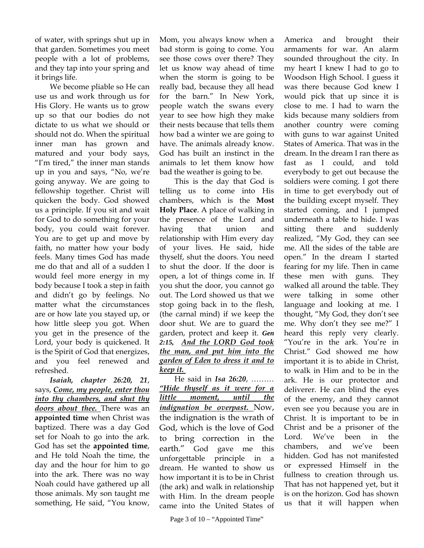of water, with springs shut up in that garden. Sometimes you meet people with a lot of problems, and they tap into your spring and it brings life.

We become pliable so He can use us and work through us for His Glory. He wants us to grow up so that our bodies do not dictate to us what we should or should not do. When the spiritual inner man has grown and matured and your body says, "I'm tired," the inner man stands up in you and says, "No, we're going anyway. We are going to fellowship together. Christ will quicken the body. God showed us a principle. If you sit and wait for God to do something for your body, you could wait forever. You are to get up and move by faith, no matter how your body feels. Many times God has made me do that and all of a sudden I would feel more energy in my body because I took a step in faith and didn't go by feelings. No matter what the circumstances are or how late you stayed up, or how little sleep you got. When you get in the presence of the Lord, your body is quickened. It is the Spirit of God that energizes, and you feel renewed and refreshed.

*Isaiah, chapter 26:20, 21*, says, *Come, my people, enter thou into thy chambers, and shut thy doors about thee.* There was an **appointed time** when Christ was baptized. There was a day God set for Noah to go into the ark. God has set the **appointed time**, and He told Noah the time, the day and the hour for him to go into the ark. There was no way Noah could have gathered up all those animals. My son taught me something, He said, "You know, Mom, you always know when a bad storm is going to come. You see those cows over there? They let us know way ahead of time when the storm is going to be really bad, because they all head for the barn." In New York, people watch the swans every year to see how high they make their nests because that tells them how bad a winter we are going to have. The animals already know. God has built an instinct in the animals to let them know how bad the weather is going to be.

This is the day that God is telling us to come into His chambers, which is the **Most Holy Place**. A place of walking in the presence of the Lord and having that union and relationship with Him every day of your lives. He said, hide thyself, shut the doors. You need to shut the door. If the door is open, a lot of things come in. If you shut the door, you cannot go out. The Lord showed us that we stop going back in to the flesh, (the carnal mind) if we keep the door shut. We are to guard the garden, protect and keep it. *Gen 2:15, And the LORD God took the man, and put him into the garden of Eden to dress it and to keep it.*

He said in *Isa 26:20*, ……… *"Hide thyself as it were for a little moment, until the indignation be overpast.* Now, the indignation is the wrath of God, which is the love of God to bring correction in the earth." God gave me this unforgettable principle in a dream. He wanted to show us how important it is to be in Christ (the ark) and walk in relationship with Him. In the dream people came into the United States of

America and brought their armaments for war. An alarm sounded throughout the city. In my heart I knew I had to go to Woodson High School. I guess it was there because God knew I would pick that up since it is close to me. I had to warn the kids because many soldiers from another country were coming with guns to war against United States of America. That was in the dream. In the dream I ran there as fast as I could, and told everybody to get out because the soldiers were coming. I got there in time to get everybody out of the building except myself. They started coming, and I jumped underneath a table to hide. I was sitting there and suddenly realized, "My God, they can see me. All the sides of the table are open." In the dream I started fearing for my life. Then in came these men with guns. They walked all around the table. They were talking in some other language and looking at me. I thought, "My God, they don't see me. Why don't they see me?" I heard this reply very clearly. "You're in the ark. You're in Christ." God showed me how important it is to abide in Christ, to walk in Him and to be in the ark. He is our protector and deliverer. He can blind the eyes of the enemy, and they cannot even see you because you are in Christ. It is important to be in Christ and be a prisoner of the Lord. We've been in the chambers, and we've been hidden. God has not manifested or expressed Himself in the fullness to creation through us. That has not happened yet, but it is on the horizon. God has shown us that it will happen when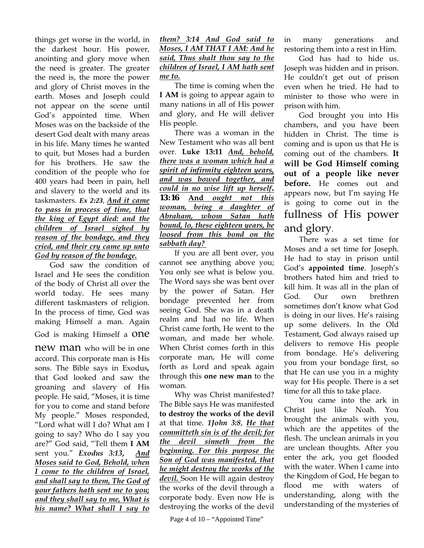things get worse in the world, in the darkest hour. His power, anointing and glory move when the need is greater. The greater the need is, the more the power and glory of Christ moves in the earth. Moses and Joseph could not appear on the scene until God's appointed time. When Moses was on the backside of the desert God dealt with many areas in his life. Many times he wanted to quit, but Moses had a burden for his brothers. He saw the condition of the people who for 400 years had been in pain, hell and slavery to the world and its taskmasters. *Ex 2:23*, *And it came to pass in process of time, that the king of Egypt died: and the children of Israel sighed by reason of the bondage, and they cried, and their cry came up unto God by reason of the bondage.*

God saw the condition of Israel and He sees the condition of the body of Christ all over the world today. He sees many different taskmasters of religion. In the process of time, God was making Himself a man. Again God is making Himself a ONE

new man who will be in one accord. This corporate man is His sons. The Bible says in Exodus*,*  that God looked and saw the groaning and slavery of His people. He said, "Moses, it is time for you to come and stand before My people." Moses responded, "Lord what will I do? What am I going to say? Who do I say you are?" God said, "Tell them **I AM** sent you." *Exodus 3:13***,** *And Moses said to God, Behold, when I come to the children of Israel, and shall say to them, The God of your fathers hath sent me to you; and they shall say to me, What is his name? What shall I say to* 

## *them? 3:14 And God said to Moses, I AM THAT I AM: And he said, Thus shalt thou say to the children of Israel, I AM hath sent me to.*

The time is coming when the **I AM** is going to appear again to many nations in all of His power and glory, and He will deliver His people.

There was a woman in the New Testament who was all bent over. **Luke 13:11** *And, behold, there was a woman which had a spirit of infirmity eighteen years, and was bowed together, and could in no wise lift up herself. 13:16* **And** *ought not this woman, being a daughter of Abraham, whom Satan hath bound, lo, these eighteen years, be loosed from this bond on the sabbath day?* 

If you are all bent over, you cannot see anything above you; You only see what is below you. The Word says she was bent over by the power of Satan. Her bondage prevented her from seeing God. She was in a death realm and had no life. When Christ came forth, He went to the woman, and made her whole. When Christ comes forth in this corporate man, He will come forth as Lord and speak again through this **one new man** to the woman.

Why was Christ manifested? The Bible says He was manifested **to destroy the works of the devil** at that time. *1John 3:8*, *He that committeth sin is of the devil; for the devil sinneth from the beginning. For this purpose the Son of God was manifested, that he might destroy the works of the devil.* Soon He will again destroy the works of the devil through a corporate body. Even now He is destroying the works of the devil

in many generations and restoring them into a rest in Him.

God has had to hide us. Joseph was hidden and in prison. He couldn't get out of prison even when he tried. He had to minister to those who were in prison with him.

God brought you into His chambers, and you have been hidden in Christ. The time is coming and is upon us that He is coming out of the chambers. **It will be God Himself coming out of a people like never before.** He comes out and appears now, but I'm saying He is going to come out in the fullness of His power and glory.

There was a set time for Moses and a set time for Joseph. He had to stay in prison until God's **appointed time**. Joseph's brothers hated him and tried to kill him. It was all in the plan of God. Our own brethren sometimes don't know what God is doing in our lives. He's raising up some delivers. In the Old Testament, God always raised up delivers to remove His people from bondage. He's delivering you from your bondage first, so that He can use you in a mighty way for His people. There is a set time for all this to take place.

You came into the ark in Christ just like Noah. You brought the animals with you, which are the appetites of the flesh. The unclean animals in you are unclean thoughts. After you enter the ark, you get flooded with the water. When I came into the Kingdom of God, He began to flood me with waters of understanding, along with the understanding of the mysteries of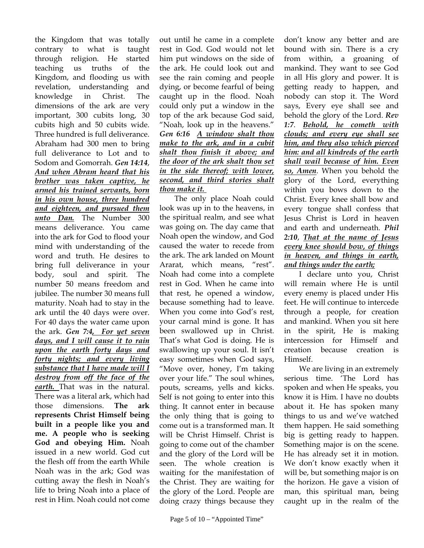the Kingdom that was totally contrary to what is taught through religion. He started teaching us truths of the Kingdom, and flooding us with revelation, understanding and knowledge in Christ. The dimensions of the ark are very important, 300 cubits long, 30 cubits high and 50 cubits wide. Three hundred is full deliverance. Abraham had 300 men to bring full deliverance to Lot and to Sodom and Gomorrah. *Gen 14:14*, *And when Abram heard that his brother was taken captive, he armed his trained servants, born in his own house, three hundred and eighteen, and pursued them unto Dan.* The Number 300 means deliverance. You came into the ark for God to flood your mind with understanding of the word and truth. He desires to bring full deliverance in your body, soul and spirit. The number 50 means freedom and jubilee. The number 30 means full maturity. Noah had to stay in the ark until the 40 days were over. For 40 days the water came upon the ark. *Gen 7:4, For yet seven days, and I will cause it to rain upon the earth forty days and forty nights; and every living substance that I have made will I destroy from off the face of the earth.* That was in the natural. There was a literal ark, which had those dimensions. **The ark represents Christ Himself being built in a people like you and me. A people who is seeking God and obeying Him.** Noah issued in a new world. God cut the flesh off from the earth While Noah was in the ark; God was cutting away the flesh in Noah's life to bring Noah into a place of rest in Him. Noah could not come

out until he came in a complete rest in God. God would not let him put windows on the side of the ark. He could look out and see the rain coming and people dying, or become fearful of being caught up in the flood. Noah could only put a window in the top of the ark because God said, "Noah, look up in the heavens." *Gen 6:16 A window shalt thou make to the ark, and in a cubit shalt thou finish it above; and the door of the ark shalt thou set in the side thereof; with lower, second, and third stories shalt thou make it.* 

The only place Noah could look was up in to the heavens, in the spiritual realm, and see what was going on. The day came that Noah open the window, and God caused the water to recede from the ark. The ark landed on Mount Ararat, which means, "rest". Noah had come into a complete rest in God. When he came into that rest, he opened a window, because something had to leave. When you come into God's rest, your carnal mind is gone. It has been swallowed up in Christ. That's what God is doing. He is swallowing up your soul. It isn't easy sometimes when God says, "Move over, honey, I'm taking over your life." The soul whines, pouts, screams, yells and kicks. Self is not going to enter into this thing. It cannot enter in because the only thing that is going to come out is a transformed man. It will be Christ Himself. Christ is going to come out of the chamber and the glory of the Lord will be seen. The whole creation is waiting for the manifestation of the Christ. They are waiting for the glory of the Lord. People are doing crazy things because they

don't know any better and are bound with sin. There is a cry from within, a groaning of mankind. They want to see God in all His glory and power. It is getting ready to happen, and nobody can stop it. The Word says, Every eye shall see and behold the glory of the Lord. *Rev 1:7*. *Behold, he cometh with clouds; and every eye shall see him, and they also which pierced him: and all kindreds of the earth shall wail because of him. Even so, Amen*. When you behold the glory of the Lord, everything within you bows down to the Christ. Every knee shall bow and every tongue shall confess that Jesus Christ is Lord in heaven and earth and underneath. *Phil 2:10*, *That at the name of Jesus every knee should bow, of things in heaven, and things in earth, and things under the earth;* 

I declare unto you, Christ will remain where He is until every enemy is placed under His feet. He will continue to intercede through a people, for creation and mankind. When you sit here in the spirit, He is making intercession for Himself and creation because creation is Himself.

We are living in an extremely serious time. 'The Lord has spoken and when He speaks, you know it is Him. I have no doubts about it. He has spoken many things to us and we've watched them happen. He said something big is getting ready to happen. Something major is on the scene. He has already set it in motion. We don't know exactly when it will be, but something major is on the horizon. He gave a vision of man, this spiritual man, being caught up in the realm of the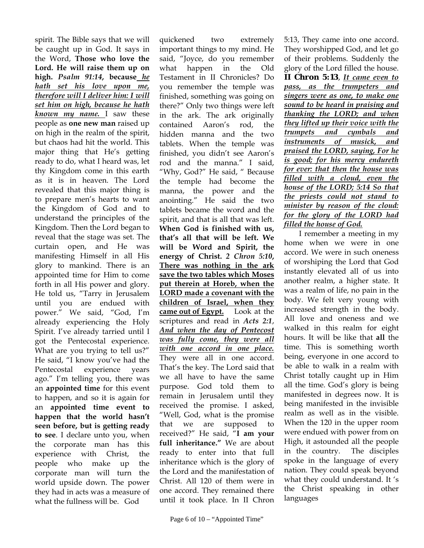spirit. The Bible says that we will be caught up in God. It says in the Word, **Those who love the Lord. He will raise them up on high.** *Psalm 91:14***, because** *he hath set his love upon me, therefore will I deliver him: I will set him on high, because he hath known my name.* I saw these people as **one new man** raised up on high in the realm of the spirit, but chaos had hit the world. This major thing that He's getting ready to do, what I heard was, let thy Kingdom come in this earth as it is in heaven. The Lord revealed that this major thing is to prepare men's hearts to want the Kingdom of God and to understand the principles of the Kingdom. Then the Lord began to reveal that the stage was set. The curtain open, and He was manifesting Himself in all His glory to mankind. There is an appointed time for Him to come forth in all His power and glory. He told us, "Tarry in Jerusalem until you are endued with power." We said, "God, I'm already experiencing the Holy Spirit. I've already tarried until I got the Pentecostal experience. What are you trying to tell us?" He said, "I know you've had the Pentecostal experience years ago." I'm telling you, there was an **appointed time** for this event to happen, and so it is again for an **appointed time event to happen that the world hasn't seen before, but is getting ready to see**. I declare unto you, when the corporate man has this experience with Christ, the people who make up the corporate man will turn the world upside down. The power they had in acts was a measure of what the fullness will be. God

quickened two extremely important things to my mind. He said, "Joyce, do you remember what happen in the Old Testament in II Chronicles? Do you remember the temple was finished, something was going on there?" Only two things were left in the ark. The ark originally contained Aaron's rod, the hidden manna and the two tablets. When the temple was finished, you didn't see Aaron's rod and the manna." I said, "Why, God?" He said, " Because the temple had become the manna, the power and the anointing." He said the two tablets became the word and the spirit, and that is all that was left. **When God is finished with us, that's all that will be left. We will be Word and Spirit, the energy of Christ.** *2 Chron 5:10***, There was nothing in the ark save the two tables which Moses put therein at Horeb, when the LORD made a covenant with the children of Israel, when they came out of Egypt.** Look at the scriptures and read in *Acts 2:1*, *And when the day of Pentecost was fully come, they were all with one accord in one place.*  They were all in one accord. That's the key. The Lord said that we all have to have the same purpose. God told them to remain in Jerusalem until they received the promise. I asked, "Well, God, what is the promise that we are supposed to received?" He said, "**I am your full inheritance."** We are about ready to enter into that full inheritance which is the glory of the Lord and the manifestation of Christ. All 120 of them were in one accord. They remained there until it took place. In II Chron

5:13, They came into one accord. They worshipped God, and let go of their problems. Suddenly the glory of the Lord filled the house. *II Chron 5:13*, *It came even to pass, as the trumpeters and singers were as one, to make one sound to be heard in praising and thanking the LORD; and when they lifted up their voice with the trumpets and cymbals and instruments of musick, and praised the LORD, saying, For he is good; for his mercy endureth for ever: that then the house was filled with a cloud, even the house of the LORD; 5:14 So that the priests could not stand to minister by reason of the cloud: for the glory of the LORD had filled the house of God.* 

 I remember a meeting in my home when we were in one accord. We were in such oneness of worshiping the Lord that God instantly elevated all of us into another realm, a higher state. It was a realm of life, no pain in the body. We felt very young with increased strength in the body. All love and oneness and we walked in this realm for eight hours. It will be like that **all** the time. This is something worth being, everyone in one accord to be able to walk in a realm with Christ totally caught up in Him all the time. God's glory is being manifested in degrees now. It is being manifested in the invisible realm as well as in the visible. When the 120 in the upper room were endued with power from on High, it astounded all the people in the country. The disciples spoke in the language of every nation. They could speak beyond what they could understand. It 's the Christ speaking in other languages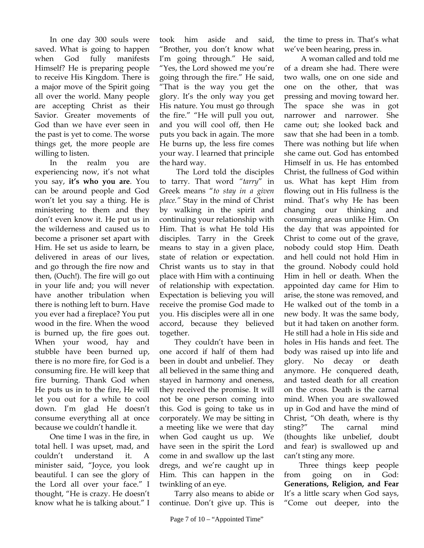In one day 300 souls were saved. What is going to happen when God fully manifests Himself? He is preparing people to receive His Kingdom. There is a major move of the Spirit going all over the world. Many people are accepting Christ as their Savior. Greater movements of God than we have ever seen in the past is yet to come. The worse things get, the more people are willing to listen.

 In the realm you are experiencing now, it's not what you say, **it's who you are**. You can be around people and God won't let you say a thing. He is ministering to them and they don't even know it. He put us in the wilderness and caused us to become a prisoner set apart with Him. He set us aside to learn, be delivered in areas of our lives, and go through the fire now and then, (Ouch!). The fire will go out in your life and; you will never have another tribulation when there is nothing left to burn. Have you ever had a fireplace? You put wood in the fire. When the wood is burned up, the fire goes out. When your wood, hay and stubble have been burned up, there is no more fire, for God is a consuming fire. He will keep that fire burning. Thank God when He puts us in to the fire, He will let you out for a while to cool down. I'm glad He doesn't consume everything all at once because we couldn't handle it.

 One time I was in the fire, in total hell. I was upset, mad, and couldn't understand it. A minister said, "Joyce, you look beautiful. I can see the glory of the Lord all over your face." I thought, "He is crazy. He doesn't know what he is talking about." I took him aside and said, "Brother, you don't know what I'm going through." He said, "Yes, the Lord showed me you're going through the fire." He said, "That is the way you get the glory. It's the only way you get His nature. You must go through the fire." "He will pull you out, and you will cool off, then He puts you back in again. The more He burns up, the less fire comes your way. I learned that principle the hard way.

 The Lord told the disciples to tarry. That word *"tarry*" in Greek means "*to stay in a given place."* Stay in the mind of Christ by walking in the spirit and continuing your relationship with Him. That is what He told His disciples. Tarry in the Greek means to stay in a given place, state of relation or expectation. Christ wants us to stay in that place with Him with a continuing of relationship with expectation. Expectation is believing you will receive the promise God made to you. His disciples were all in one accord, because they believed together.

 They couldn't have been in one accord if half of them had been in doubt and unbelief. They all believed in the same thing and stayed in harmony and oneness, they received the promise. It will not be one person coming into this. God is going to take us in corporately. We may be sitting in a meeting like we were that day when God caught us up. We have seen in the spirit the Lord come in and swallow up the last dregs, and we're caught up in Him. This can happen in the twinkling of an eye.

 Tarry also means to abide or continue. Don't give up. This is the time to press in. That's what we've been hearing, press in.

 A woman called and told me of a dream she had. There were two walls, one on one side and one on the other, that was pressing and moving toward her. The space she was in got narrower and narrower. She came out; she looked back and saw that she had been in a tomb. There was nothing but life when she came out. God has entombed Himself in us. He has entombed Christ, the fullness of God within us. What has kept Him from flowing out in His fullness is the mind. That's why He has been changing our thinking and consuming areas unlike Him. On the day that was appointed for Christ to come out of the grave, nobody could stop Him. Death and hell could not hold Him in the ground. Nobody could hold Him in hell or death. When the appointed day came for Him to arise, the stone was removed, and He walked out of the tomb in a new body. It was the same body, but it had taken on another form. He still had a hole in His side and holes in His hands and feet. The body was raised up into life and glory. No decay or death anymore. He conquered death, and tasted death for all creation on the cross. Death is the carnal mind. When you are swallowed up in God and have the mind of Christ, "Oh death, where is thy sting?" The carnal mind (thoughts like unbelief, doubt and fear) is swallowed up and can't sting any more.

 Three things keep people from going on in God: **Generations, Religion, and Fear** It's a little scary when God says, "Come out deeper, into the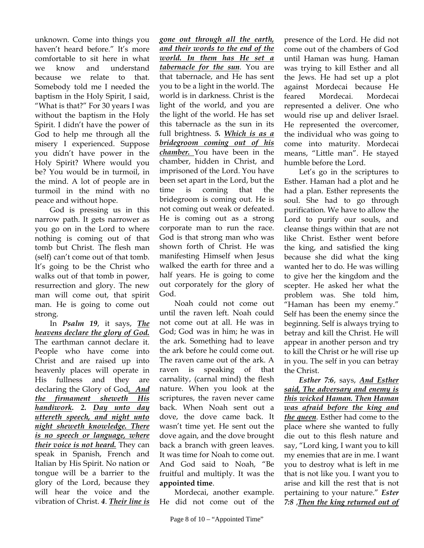unknown. Come into things you haven't heard before." It's more comfortable to sit here in what we know and understand because we relate to that. Somebody told me I needed the baptism in the Holy Spirit, I said, "What is that?" For 30 years I was without the baptism in the Holy Spirit. I didn't have the power of God to help me through all the misery I experienced. Suppose you didn't have power in the Holy Spirit? Where would you be? You would be in turmoil, in the mind. A lot of people are in turmoil in the mind with no peace and without hope.

 God is pressing us in this narrow path. It gets narrower as you go on in the Lord to where nothing is coming out of that tomb but Christ. The flesh man (self) can't come out of that tomb. It's going to be the Christ who walks out of that tomb in power, resurrection and glory. The new man will come out, that spirit man. He is going to come out strong.

 In *Psalm 19*, it says, *The heavens declare the glory of God.*  The earthman cannot declare it. People who have come into Christ and are raised up into heavenly places will operate in His fullness and they are declaring the Glory of God*. And the firmament sheweth His handiwork. 2. Day unto day uttereth speech, and night unto night sheweth knowledge. There is no speech or language, where their voice is not heard.* They can speak in Spanish, French and Italian by His Spirit. No nation or tongue will be a barrier to the glory of the Lord, because they will hear the voice and the vibration of Christ. *4*. *Their line is* 

*gone out through all the earth, and their words to the end of the world. In them has He set a tabernacle for the sun*. You are that tabernacle, and He has sent you to be a light in the world. The world is in darkness. Christ is the light of the world, and you are the light of the world. He has set this tabernacle as the sun in its full brightness. *5. Which is as a bridegroom coming out of his chamber.* You have been in the chamber, hidden in Christ, and imprisoned of the Lord. You have been set apart in the Lord, but the time is coming that the bridegroom is coming out. He is not coming out weak or defeated. He is coming out as a strong corporate man to run the race. God is that strong man who was shown forth of Christ. He was manifesting Himself when Jesus walked the earth for three and a half years. He is going to come out corporately for the glory of God.

 Noah could not come out until the raven left. Noah could not come out at all. He was in God; God was in him; he was in the ark. Something had to leave the ark before he could come out. The raven came out of the ark. A raven is speaking of that carnality, (carnal mind) the flesh nature. When you look at the scriptures, the raven never came back. When Noah sent out a dove, the dove came back. It wasn't time yet. He sent out the dove again, and the dove brought back a branch with green leaves. It was time for Noah to come out. And God said to Noah, "Be fruitful and multiply. It was the **appointed time**.

 Mordecai, another example. He did not come out of the

presence of the Lord. He did not come out of the chambers of God until Haman was hung. Haman was trying to kill Esther and all the Jews. He had set up a plot against Mordecai because He feared Mordecai. Mordecai represented a deliver. One who would rise up and deliver Israel. He represented the overcomer, the individual who was going to come into maturity. Mordecai means, "Little man". He stayed humble before the Lord.

 Let's go in the scriptures to Esther. Haman had a plot and he had a plan. Esther represents the soul. She had to go through purification. We have to allow the Lord to purify our souls, and cleanse things within that are not like Christ. Esther went before the king, and satisfied the king because she did what the king wanted her to do. He was willing to give her the kingdom and the scepter. He asked her what the problem was. She told him, "Haman has been my enemy." Self has been the enemy since the beginning. Self is always trying to betray and kill the Christ. He will appear in another person and try to kill the Christ or he will rise up in you. The self in you can betray the Christ.

*Esther 7:6*, says, *And Esther said, The adversary and enemy is this wicked Haman. Then Haman was afraid before the king and the queen*. Esther had come to the place where she wanted to fully die out to this flesh nature and say, "Lord king, I want you to kill my enemies that are in me. I want you to destroy what is left in me that is not like you. I want you to arise and kill the rest that is not pertaining to your nature." *Ester 7:8* ,*Then the king returned out of*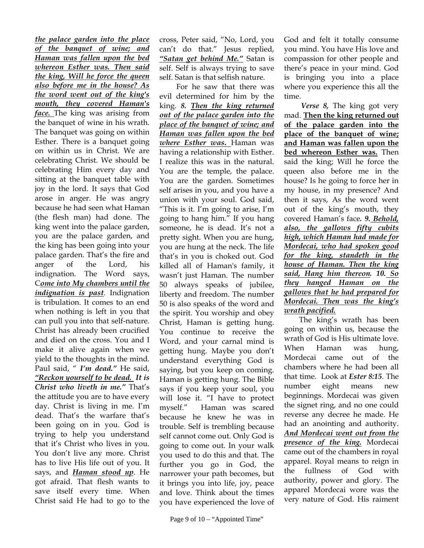*the palace garden into the place of the banquet of wine; and Haman was fallen upon the bed whereon Esther was. Then said the king, Will he force the queen also before me in the house? As the word went out of the king's mouth, they covered Haman's face.* The king was arising from the banquet of wine in his wrath. The banquet was going on within Esther. There is a banquet going on within us in Christ. We are celebrating Christ. We should be celebrating Him every day and sitting at the banquet table with joy in the lord. It says that God arose in anger. He was angry because he had seen what Haman (the flesh man) had done. The king went into the palace garden, you are the palace garden, and the king has been going into your palace garden. That's the fire and anger of the Lord, his indignation. The Word says, C*ome into My chambers until the indignation is past*. Indignation is tribulation. It comes to an end when nothing is left in you that can pull you into that self-nature. Christ has already been crucified and died on the cross. You and I make it alive again when we yield to the thoughts in the mind. Paul said, " *I'm dead."* He said, *"Reckon yourself to be dead. It is Christ who liveth in me."* That's the attitude you are to have every day. Christ is living in me. I'm dead. That's the warfare that's been going on in you. God is trying to help you understand that it's Christ who lives in you. You don't live any more. Christ has to live His life out of you. It says, and *Haman stood up*. He got afraid. That flesh wants to save itself every time. When Christ said He had to go to the

cross, Peter said, "No, Lord, you can't do that." Jesus replied, *"Satan get behind Me."* Satan is self. Self is always trying to save self. Satan is that selfish nature.

 For he saw that there was evil determined for him by the king. *8. Then the king returned out of the palace garden into the place of the banquet of wine; and Haman was fallen upon the bed where Esther was***.** Haman was having a relationship with Esther. I realize this was in the natural. You are the temple, the palace. You are the garden. Sometimes self arises in you, and you have a union with your soul. God said, "This is it. I'm going to arise, I'm going to hang him." If you hang someone, he is dead. It's not a pretty sight. When you are hung, you are hung at the neck. The life that's in you is choked out. God killed all of Haman's family, it wasn't just Haman. The number 50 always speaks of jubilee, liberty and freedom. The number 50 is also speaks of the word and the spirit. You worship and obey Christ, Haman is getting hung. You continue to receive the Word, and your carnal mind is getting hung. Maybe you don't understand everything God is saying, but you keep on coming. Haman is getting hung. The Bible says if you keep your soul, you will lose it. "I have to protect myself." Haman was scared because he knew he was in trouble. Self is trembling because self cannot come out. Only God is going to come out. In your walk you used to do this and that. The further you go in God, the narrower your path becomes, but it brings you into life, joy, peace and love. Think about the times you have experienced the love of God and felt it totally consume you mind. You have His love and compassion for other people and there's peace in your mind. God is bringing you into a place where you experience this all the time.

 *Verse 8,* The king got very mad. **Then the king returned out of the palace garden into the place of the banquet of wine; and Haman was fallen upon the bed whereon Esther was.** Then said the king; Will he force the queen also before me in the house? Is he going to force her in my house, in my presence? And then it says, As the word went out of the king's mouth, they covered Haman's face*. 9. Behold, also, the gallows fifty cubits high, which Haman had made for Mordecai, who had spoken good for the king, standeth in the house of Haman. Then the king said, Hang him thereon. 10. So they hanged Haman on the gallows that he had prepared for Mordecai. Then was the king's wrath pacified.* 

 The king's wrath has been going on within us, because the wrath of God is His ultimate love. When Haman was hung, Mordecai came out of the chambers where he had been all that time. Look at *Ester 8:15*. The number eight means new beginnings. Mordecai was given the signet ring, and no one could reverse any decree he made. He had an anointing and authority. *And Mordecai went out from the presence of the king.* Mordecai came out of the chambers in royal apparel. Royal means to reign in the fullness of God with authority, power and glory. The apparel Mordecai wore was the very nature of God. His raiment